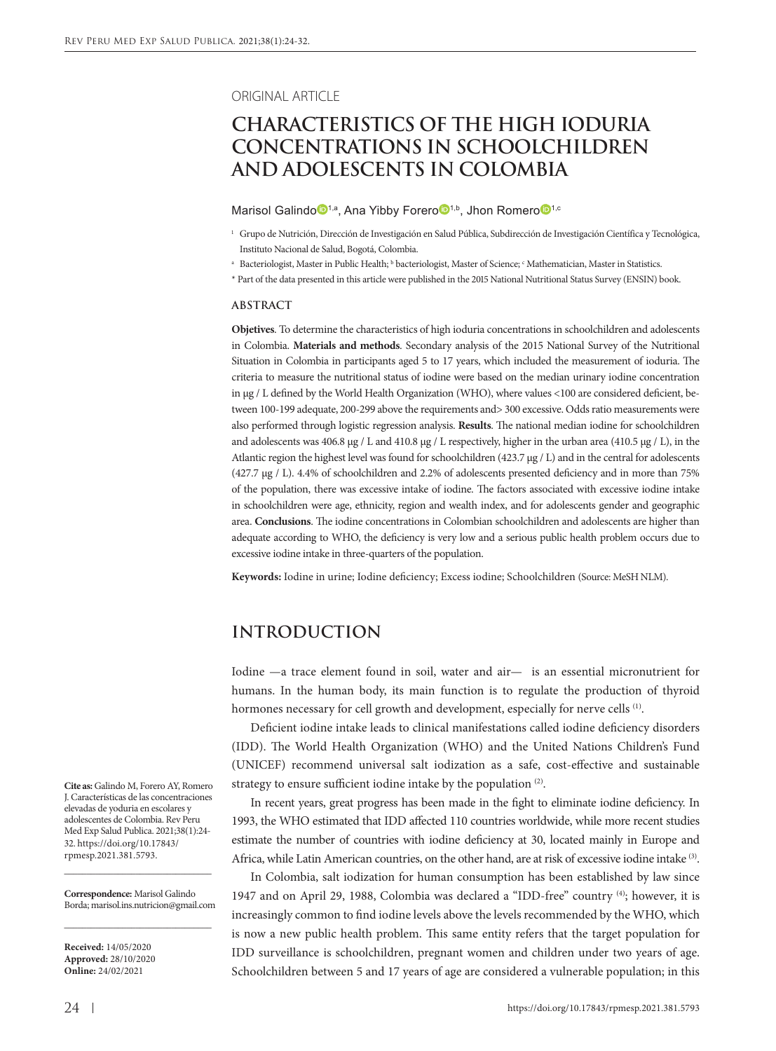#### ORIGINAL ARTICLE

# **CHARACTERISTICS OF THE HIGH IODURIA CONCENTRATIONS IN SCHOOLCHILDREN AND ADOLESCENTS IN COLOMBIA**

Maris[o](https://orcid.org/0000-0002-0641-9502)l Galindo<sup>n,a</sup>, Ana Yibby Forero<sup>D1,b</sup>, Jhon Romero<sup>D1,c</sup>

- $\,^{\rm a} \,$  Bacteriologist, Master in Public Health;  $^{\rm b}$  bacteriologist, Master of Science;  $^{\rm c}$  Mathematician, Master in Statistics.
- \* Part of the data presented in this article were published in the 2015 National Nutritional Status Survey (ENSIN) book.

#### **ABSTRACT**

**Objetives**. To determine the characteristics of high ioduria concentrations in schoolchildren and adolescents in Colombia. **Materials and methods**. Secondary analysis of the 2015 National Survey of the Nutritional Situation in Colombia in participants aged 5 to 17 years, which included the measurement of ioduria. The criteria to measure the nutritional status of iodine were based on the median urinary iodine concentration in µg / L defined by the World Health Organization (WHO), where values <100 are considered deficient, between 100-199 adequate, 200-299 above the requirements and> 300 excessive. Odds ratio measurements were also performed through logistic regression analysis. **Results**. The national median iodine for schoolchildren and adolescents was 406.8 µg / L and 410.8 µg / L respectively, higher in the urban area (410.5 µg / L), in the Atlantic region the highest level was found for schoolchildren (423.7 µg / L) and in the central for adolescents (427.7 µg / L). 4.4% of schoolchildren and 2.2% of adolescents presented deficiency and in more than 75% of the population, there was excessive intake of iodine. The factors associated with excessive iodine intake in schoolchildren were age, ethnicity, region and wealth index, and for adolescents gender and geographic area. **Conclusions**. The iodine concentrations in Colombian schoolchildren and adolescents are higher than adequate according to WHO, the deficiency is very low and a serious public health problem occurs due to excessive iodine intake in three-quarters of the population.

**Keywords:** Iodine in urine; Iodine deficiency; Excess iodine; Schoolchildren (Source: MeSH NLM).

### **INTRODUCTION**

Iodine —a trace element found in soil, water and air— is an essential micronutrient for humans. In the human body, its main function is to regulate the production of thyroid hormones necessary for cell growth and development, especially for nerve cells <sup>(1)</sup>.

Deficient iodine intake leads to clinical manifestations called iodine deficiency disorders (IDD). The World Health Organization (WHO) and the United Nations Children's Fund (UNICEF) recommend universal salt iodization as a safe, cost-effective and sustainable strategy to ensure sufficient iodine intake by the population<sup>(2)</sup>.

In recent years, great progress has been made in the fight to eliminate iodine deficiency. In 1993, the WHO estimated that IDD affected 110 countries worldwide, while more recent studies estimate the number of countries with iodine deficiency at 30, located mainly in Europe and Africa, while Latin American countries, on the other hand, are at risk of excessive iodine intake (3).

In Colombia, salt iodization for human consumption has been established by law since 1947 and on April 29, 1988, Colombia was declared a "IDD-free" country (4); however, it is increasingly common to find iodine levels above the levels recommended by the WHO, which is now a new public health problem. This same entity refers that the target population for IDD surveillance is schoolchildren, pregnant women and children under two years of age. Schoolchildren between 5 and 17 years of age are considered a vulnerable population; in this

**Cite as:** Galindo M, Forero AY, Romero J. Características de las concentraciones elevadas de yoduria en escolares y adolescentes de Colombia. Rev Peru Med Exp Salud Publica. 2021;38(1):24- 32. https://doi.org/10.17843/ rpmesp.2021.381.5793.

**Correspondence:** Marisol Galindo Borda; [marisol.ins.nutricion@gmail.com](mailto:marisol.ins.nutricion@gmail.com) \_\_\_\_\_\_\_\_\_\_\_\_\_\_\_\_\_\_\_\_\_\_\_\_\_\_\_\_\_\_\_\_\_

\_\_\_\_\_\_\_\_\_\_\_\_\_\_\_\_\_\_\_\_\_\_\_\_\_\_\_\_\_\_\_\_\_

**Received:** 14/05/2020 **Approved:** 28/10/2020 **Online:** 24/02/2021

<sup>1</sup> Grupo de Nutrición, Dirección de Investigación en Salud Pública, Subdirección de Investigación Científica y Tecnológica, Instituto Nacional de Salud, Bogotá, Colombia.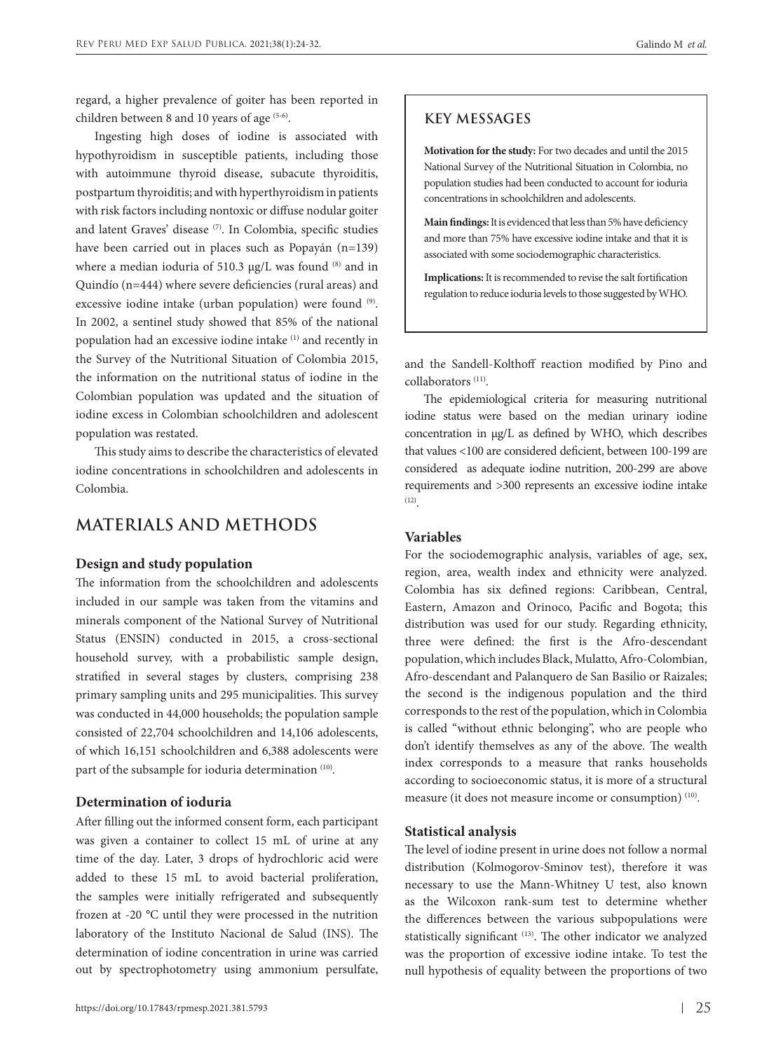regard, a higher prevalence of goiter has been reported in children between 8 and 10 years of age  $(5-6)$ .

Ingesting high doses of iodine is associated with hypothyroidism in susceptible patients, including those with autoimmune thyroid disease, subacute thyroiditis, postpartum thyroiditis; and with hyperthyroidism in patients with risk factors including nontoxic or diffuse nodular goiter and latent Graves' disease (7). In Colombia, specific studies have been carried out in places such as Popayán (n=139) where a median ioduria of 510.3 μg/L was found (8) and in Quindío (n=444) where severe deficiencies (rural areas) and excessive iodine intake (urban population) were found (9). In 2002, a sentinel study showed that 85% of the national population had an excessive iodine intake (1) and recently in the Survey of the Nutritional Situation of Colombia 2015, the information on the nutritional status of iodine in the Colombian population was updated and the situation of iodine excess in Colombian schoolchildren and adolescent population was restated.

This study aims to describe the characteristics of elevated iodine concentrations in schoolchildren and adolescents in Colombia.

### **MATERIALS AND METHODS**

#### **Design and study population**

The information from the schoolchildren and adolescents included in our sample was taken from the vitamins and minerals component of the National Survey of Nutritional Status (ENSIN) conducted in 2015, a cross-sectional household survey, with a probabilistic sample design, stratified in several stages by clusters, comprising 238 primary sampling units and 295 municipalities. This survey was conducted in 44,000 households; the population sample consisted of 22,704 schoolchildren and 14,106 adolescents, of which 16,151 schoolchildren and 6,388 adolescents were part of the subsample for ioduria determination (10).

#### **Determination of ioduria**

After filling out the informed consent form, each participant was given a container to collect 15 mL of urine at any time of the day. Later, 3 drops of hydrochloric acid were added to these 15 mL to avoid bacterial proliferation, the samples were initially refrigerated and subsequently frozen at -20 °C until they were processed in the nutrition laboratory of the Instituto Nacional de Salud (INS). The determination of iodine concentration in urine was carried out by spectrophotometry using ammonium persulfate,

### **KEY MESSAGES**

**Motivation for the study:** For two decades and until the 2015 National Survey of the Nutritional Situation in Colombia, no population studies had been conducted to account for ioduria concentrations in schoolchildren and adolescents.

**Main findings:** It is evidenced that less than 5% have deficiency and more than 75% have excessive iodine intake and that it is associated with some sociodemographic characteristics.

**Implications:** It is recommended to revise the salt fortification regulation to reduce ioduria levels to those suggested by WHO.

and the Sandell-Kolthoff reaction modified by Pino and collaborators (11).

The epidemiological criteria for measuring nutritional iodine status were based on the median urinary iodine concentration in µg/L as defined by WHO, which describes that values <100 are considered deficient, between 100-199 are considered as adequate iodine nutrition, 200-299 are above requirements and >300 represents an excessive iodine intake (12).

#### **Variables**

For the sociodemographic analysis, variables of age, sex, region, area, wealth index and ethnicity were analyzed. Colombia has six defined regions: Caribbean, Central, Eastern, Amazon and Orinoco, Pacific and Bogota; this distribution was used for our study. Regarding ethnicity, three were defined: the first is the Afro-descendant population, which includes Black, Mulatto, Afro-Colombian, Afro-descendant and Palanquero de San Basilio or Raizales; the second is the indigenous population and the third corresponds to the rest of the population, which in Colombia is called "without ethnic belonging", who are people who don't identify themselves as any of the above. The wealth index corresponds to a measure that ranks households according to socioeconomic status, it is more of a structural measure (it does not measure income or consumption) (10).

### **Statistical analysis**

The level of iodine present in urine does not follow a normal distribution (Kolmogorov-Sminov test), therefore it was necessary to use the Mann-Whitney U test, also known as the Wilcoxon rank-sum test to determine whether the differences between the various subpopulations were statistically significant (13). The other indicator we analyzed was the proportion of excessive iodine intake. To test the null hypothesis of equality between the proportions of two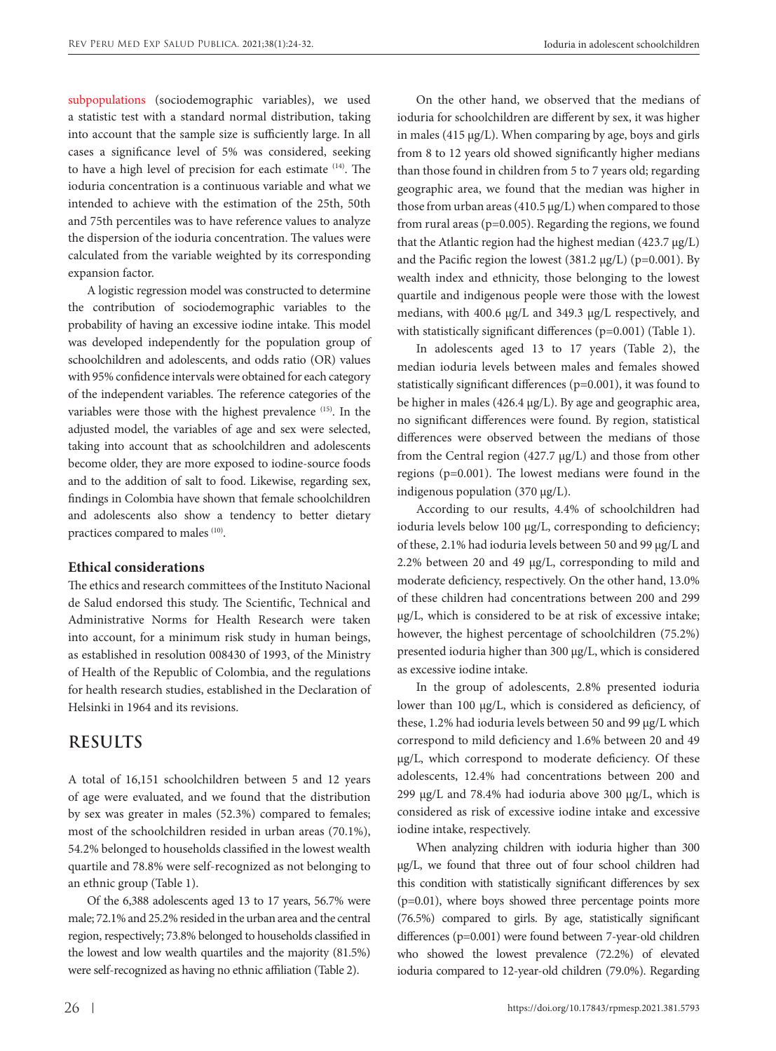subpopulations (sociodemographic variables), we used a statistic test with a standard normal distribution, taking into account that the sample size is sufficiently large. In all cases a significance level of 5% was considered, seeking to have a high level of precision for each estimate (14). The ioduria concentration is a continuous variable and what we intended to achieve with the estimation of the 25th, 50th and 75th percentiles was to have reference values to analyze the dispersion of the ioduria concentration. The values were calculated from the variable weighted by its corresponding expansion factor.

A logistic regression model was constructed to determine the contribution of sociodemographic variables to the probability of having an excessive iodine intake. This model was developed independently for the population group of schoolchildren and adolescents, and odds ratio (OR) values with 95% confidence intervals were obtained for each category of the independent variables. The reference categories of the variables were those with the highest prevalence (15). In the adjusted model, the variables of age and sex were selected, taking into account that as schoolchildren and adolescents become older, they are more exposed to iodine-source foods and to the addition of salt to food. Likewise, regarding sex, findings in Colombia have shown that female schoolchildren and adolescents also show a tendency to better dietary practices compared to males (10).

#### **Ethical considerations**

The ethics and research committees of the Instituto Nacional de Salud endorsed this study. The Scientific, Technical and Administrative Norms for Health Research were taken into account, for a minimum risk study in human beings, as established in resolution 008430 of 1993, of the Ministry of Health of the Republic of Colombia, and the regulations for health research studies, established in the Declaration of Helsinki in 1964 and its revisions.

## **RESULTS**

A total of 16,151 schoolchildren between 5 and 12 years of age were evaluated, and we found that the distribution by sex was greater in males (52.3%) compared to females; most of the schoolchildren resided in urban areas (70.1%), 54.2% belonged to households classified in the lowest wealth quartile and 78.8% were self-recognized as not belonging to an ethnic group (Table 1).

Of the 6,388 adolescents aged 13 to 17 years, 56.7% were male; 72.1% and 25.2% resided in the urban area and the central region, respectively; 73.8% belonged to households classified in the lowest and low wealth quartiles and the majority (81.5%) were self-recognized as having no ethnic affiliation (Table 2).

On the other hand, we observed that the medians of ioduria for schoolchildren are different by sex, it was higher in males (415  $\mu$ g/L). When comparing by age, boys and girls from 8 to 12 years old showed significantly higher medians than those found in children from 5 to 7 years old; regarding geographic area, we found that the median was higher in those from urban areas (410.5  $\mu$ g/L) when compared to those from rural areas (p=0.005). Regarding the regions, we found that the Atlantic region had the highest median  $(423.7 \mu g/L)$ and the Pacific region the lowest (381.2 µg/L) (p=0.001). By wealth index and ethnicity, those belonging to the lowest quartile and indigenous people were those with the lowest medians, with 400.6 µg/L and 349.3 µg/L respectively, and with statistically significant differences (p=0.001) (Table 1).

In adolescents aged 13 to 17 years (Table 2), the median ioduria levels between males and females showed statistically significant differences (p=0.001), it was found to be higher in males (426.4 µg/L). By age and geographic area, no significant differences were found. By region, statistical differences were observed between the medians of those from the Central region (427.7 µg/L) and those from other regions (p=0.001). The lowest medians were found in the indigenous population (370 µg/L).

According to our results, 4.4% of schoolchildren had ioduria levels below 100 µg/L, corresponding to deficiency; of these, 2.1% had ioduria levels between 50 and 99 µg/L and 2.2% between 20 and 49 µg/L, corresponding to mild and moderate deficiency, respectively. On the other hand, 13.0% of these children had concentrations between 200 and 299 µg/L, which is considered to be at risk of excessive intake; however, the highest percentage of schoolchildren (75.2%) presented ioduria higher than 300 µg/L, which is considered as excessive iodine intake.

In the group of adolescents, 2.8% presented ioduria lower than 100 µg/L, which is considered as deficiency, of these, 1.2% had ioduria levels between 50 and 99 µg/L which correspond to mild deficiency and 1.6% between 20 and 49 µg/L, which correspond to moderate deficiency. Of these adolescents, 12.4% had concentrations between 200 and 299 µg/L and 78.4% had ioduria above 300 µg/L, which is considered as risk of excessive iodine intake and excessive iodine intake, respectively.

When analyzing children with ioduria higher than 300 µg/L, we found that three out of four school children had this condition with statistically significant differences by sex (p=0.01), where boys showed three percentage points more (76.5%) compared to girls. By age, statistically significant differences (p=0.001) were found between 7-year-old children who showed the lowest prevalence (72.2%) of elevated ioduria compared to 12-year-old children (79.0%). Regarding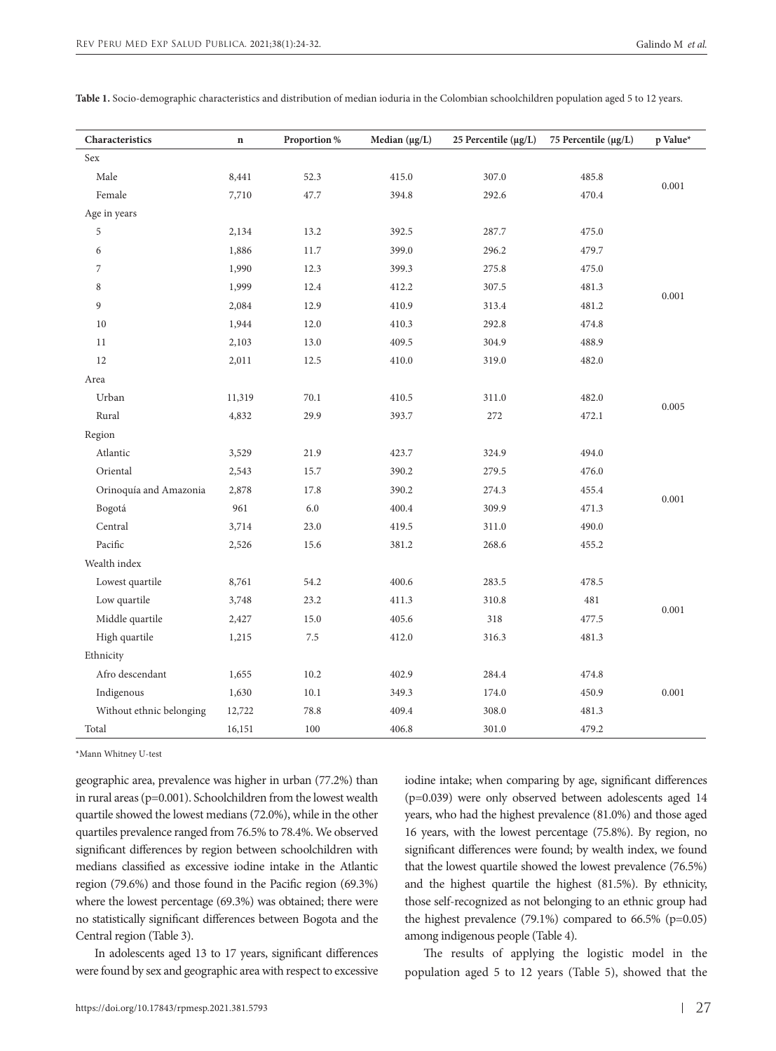| Characteristics          | $\mathbf n$ | Proportion % | Median $(\mu g/L)$ | 25 Percentile $(\mu g/L)$ | 75 Percentile (µg/L) | p Value* |
|--------------------------|-------------|--------------|--------------------|---------------------------|----------------------|----------|
| Sex                      |             |              |                    |                           |                      |          |
| Male                     | 8,441       | 52.3         | 415.0              | 307.0                     | 485.8                | 0.001    |
| Female                   | 7,710       | 47.7         | 394.8              | 292.6                     | 470.4                |          |
| Age in years             |             |              |                    |                           |                      |          |
| 5                        | 2,134       | 13.2         | 392.5              | 287.7                     | 475.0                |          |
| 6                        | 1,886       | 11.7         | 399.0              | 296.2                     | 479.7                |          |
| 7                        | 1,990       | 12.3         | 399.3              | 275.8                     | 475.0                |          |
| 8                        | 1,999       | 12.4         | 412.2              | 307.5                     | 481.3                | 0.001    |
| 9                        | 2,084       | 12.9         | 410.9              | 313.4                     | 481.2                |          |
| 10                       | 1,944       | 12.0         | 410.3              | 292.8                     | 474.8                |          |
| 11                       | 2,103       | 13.0         | 409.5              | 304.9                     | 488.9                |          |
| 12                       | 2,011       | 12.5         | 410.0              | 319.0                     | 482.0                |          |
| Area                     |             |              |                    |                           |                      |          |
| Urban                    | 11,319      | 70.1         | 410.5              | 311.0                     | 482.0                | 0.005    |
| Rural                    | 4,832       | 29.9         | 393.7              | 272                       | 472.1                |          |
| Region                   |             |              |                    |                           |                      |          |
| Atlantic                 | 3,529       | 21.9         | 423.7              | 324.9                     | 494.0                |          |
| Oriental                 | 2,543       | 15.7         | 390.2              | 279.5                     | 476.0                |          |
| Orinoquía and Amazonia   | 2,878       | 17.8         | 390.2              | 274.3                     | 455.4                | 0.001    |
| Bogotá                   | 961         | 6.0          | 400.4              | 309.9                     | 471.3                |          |
| Central                  | 3,714       | 23.0         | 419.5              | 311.0                     | 490.0                |          |
| Pacific                  | 2,526       | 15.6         | 381.2              | 268.6                     | 455.2                |          |
| Wealth index             |             |              |                    |                           |                      |          |
| Lowest quartile          | 8,761       | 54.2         | 400.6              | 283.5                     | 478.5                |          |
| Low quartile             | 3,748       | 23.2         | 411.3              | 310.8                     | 481                  | 0.001    |
| Middle quartile          | 2,427       | 15.0         | 405.6              | 318                       | 477.5                |          |
| High quartile            | 1,215       | 7.5          | 412.0              | 316.3                     | 481.3                |          |
| Ethnicity                |             |              |                    |                           |                      |          |
| Afro descendant          | 1,655       | 10.2         | 402.9              | 284.4                     | 474.8                |          |
| Indigenous               | 1,630       | 10.1         | 349.3              | 174.0                     | 450.9                | 0.001    |
| Without ethnic belonging | 12,722      | 78.8         | 409.4              | 308.0                     | 481.3                |          |
| Total                    | 16,151      | 100          | 406.8              | 301.0                     | 479.2                |          |

**Table 1.** Socio-demographic characteristics and distribution of median ioduria in the Colombian schoolchildren population aged 5 to 12 years.

\*Mann Whitney U-test

geographic area, prevalence was higher in urban (77.2%) than in rural areas (p=0.001). Schoolchildren from the lowest wealth quartile showed the lowest medians (72.0%), while in the other quartiles prevalence ranged from 76.5% to 78.4%. We observed significant differences by region between schoolchildren with medians classified as excessive iodine intake in the Atlantic region (79.6%) and those found in the Pacific region (69.3%) where the lowest percentage (69.3%) was obtained; there were no statistically significant differences between Bogota and the Central region (Table 3).

In adolescents aged 13 to 17 years, significant differences were found by sex and geographic area with respect to excessive

iodine intake; when comparing by age, significant differences (p=0.039) were only observed between adolescents aged 14 years, who had the highest prevalence (81.0%) and those aged 16 years, with the lowest percentage (75.8%). By region, no significant differences were found; by wealth index, we found that the lowest quartile showed the lowest prevalence (76.5%) and the highest quartile the highest (81.5%). By ethnicity, those self-recognized as not belonging to an ethnic group had the highest prevalence (79.1%) compared to 66.5% (p=0.05) among indigenous people (Table 4).

The results of applying the logistic model in the population aged 5 to 12 years (Table 5), showed that the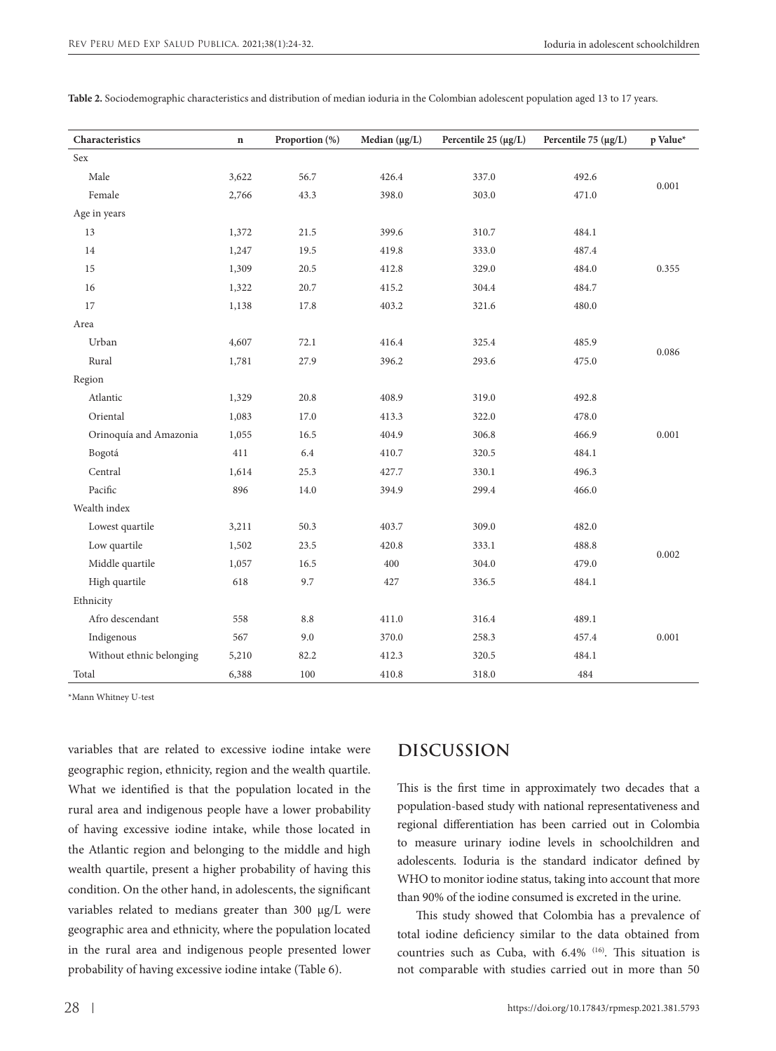| Characteristics          | $\mathbf n$ | Proportion (%) | Median $(\mu g/L)$ | Percentile $25 \, (\mu g/L)$ | Percentile 75 $(\mu g/L)$ | p Value* |
|--------------------------|-------------|----------------|--------------------|------------------------------|---------------------------|----------|
| Sex                      |             |                |                    |                              |                           |          |
| Male                     | 3,622       | 56.7           | 426.4              | 337.0                        | 492.6                     |          |
| Female                   | 2,766       | 43.3           | 398.0              | 303.0                        | 471.0                     | 0.001    |
| Age in years             |             |                |                    |                              |                           |          |
| 13                       | 1,372       | 21.5           | 399.6              | 310.7                        | 484.1                     |          |
| 14                       | 1,247       | 19.5           | 419.8              | 333.0                        | 487.4                     |          |
| 15                       | 1,309       | 20.5           | 412.8              | 329.0                        | 484.0                     | 0.355    |
| 16                       | 1,322       | 20.7           | 415.2              | 304.4                        | 484.7                     |          |
| 17                       | 1,138       | 17.8           | 403.2              | 321.6                        | 480.0                     |          |
| Area                     |             |                |                    |                              |                           |          |
| Urban                    | 4,607       | 72.1           | 416.4              | 325.4                        | 485.9                     |          |
| Rural                    | 1,781       | 27.9           | 396.2              | 293.6                        | 475.0                     | 0.086    |
| Region                   |             |                |                    |                              |                           |          |
| Atlantic                 | 1,329       | 20.8           | 408.9              | 319.0                        | 492.8                     |          |
| Oriental                 | 1,083       | 17.0           | 413.3              | 322.0                        | 478.0                     |          |
| Orinoquía and Amazonia   | 1,055       | 16.5           | 404.9              | 306.8                        | 466.9                     | 0.001    |
| Bogotá                   | 411         | 6.4            | 410.7              | 320.5                        | 484.1                     |          |
| Central                  | 1,614       | 25.3           | 427.7              | 330.1                        | 496.3                     |          |
| Pacific                  | 896         | 14.0           | 394.9              | 299.4                        | 466.0                     |          |
| Wealth index             |             |                |                    |                              |                           |          |
| Lowest quartile          | 3,211       | 50.3           | 403.7              | 309.0                        | 482.0                     |          |
| Low quartile             | 1,502       | 23.5           | 420.8              | 333.1                        | 488.8                     | 0.002    |
| Middle quartile          | 1,057       | 16.5           | 400                | 304.0                        | 479.0                     |          |
| High quartile            | 618         | 9.7            | 427                | 336.5                        | 484.1                     |          |
| Ethnicity                |             |                |                    |                              |                           |          |
| Afro descendant          | 558         | 8.8            | 411.0              | 316.4                        | 489.1                     |          |
| Indigenous               | 567         | 9.0            | 370.0              | 258.3                        | 457.4                     | 0.001    |
| Without ethnic belonging | 5,210       | 82.2           | 412.3              | 320.5                        | 484.1                     |          |
| Total                    | 6,388       | 100            | 410.8              | 318.0                        | 484                       |          |

**Table 2.** Sociodemographic characteristics and distribution of median ioduria in the Colombian adolescent population aged 13 to 17 years.

\*Mann Whitney U-test

variables that are related to excessive iodine intake were geographic region, ethnicity, region and the wealth quartile. What we identified is that the population located in the rural area and indigenous people have a lower probability of having excessive iodine intake, while those located in the Atlantic region and belonging to the middle and high wealth quartile, present a higher probability of having this condition. On the other hand, in adolescents, the significant variables related to medians greater than 300 μg/L were geographic area and ethnicity, where the population located in the rural area and indigenous people presented lower probability of having excessive iodine intake (Table 6).

## **DISCUSSION**

This is the first time in approximately two decades that a population-based study with national representativeness and regional differentiation has been carried out in Colombia to measure urinary iodine levels in schoolchildren and adolescents. Ioduria is the standard indicator defined by WHO to monitor iodine status, taking into account that more than 90% of the iodine consumed is excreted in the urine.

This study showed that Colombia has a prevalence of total iodine deficiency similar to the data obtained from countries such as Cuba, with 6.4% (16). This situation is not comparable with studies carried out in more than 50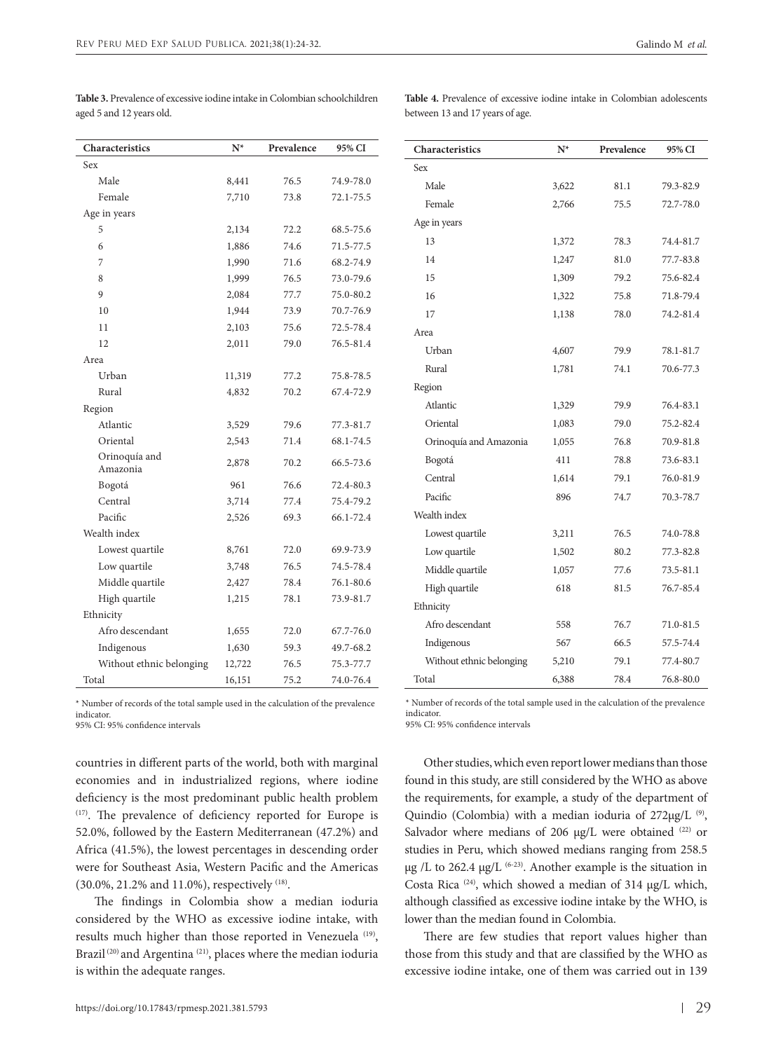| Characteristics           | $N^*$  | Prevalence | 95% CI    |  |  |  |
|---------------------------|--------|------------|-----------|--|--|--|
| Sex                       |        |            |           |  |  |  |
| Male                      | 8,441  | 76.5       | 74.9-78.0 |  |  |  |
| Female                    | 7,710  | 73.8       | 72.1-75.5 |  |  |  |
| Age in years              |        |            |           |  |  |  |
| 5                         | 2,134  | 72.2       | 68.5-75.6 |  |  |  |
| 6                         | 1,886  | 74.6       | 71.5-77.5 |  |  |  |
| 7                         | 1,990  | 71.6       | 68.2-74.9 |  |  |  |
| 8                         | 1,999  | 76.5       | 73.0-79.6 |  |  |  |
| 9                         | 2,084  | 77.7       | 75.0-80.2 |  |  |  |
| 10                        | 1,944  | 73.9       | 70.7-76.9 |  |  |  |
| 11                        | 2,103  | 75.6       | 72.5-78.4 |  |  |  |
| 12                        | 2,011  | 79.0       | 76.5-81.4 |  |  |  |
| Area                      |        |            |           |  |  |  |
| Urban                     | 11,319 | 77.2       | 75.8-78.5 |  |  |  |
| Rural                     | 4,832  | 70.2       | 67.4-72.9 |  |  |  |
| Region                    |        |            |           |  |  |  |
| Atlantic                  | 3,529  | 79.6       | 77.3-81.7 |  |  |  |
| Oriental                  | 2,543  | 71.4       | 68.1-74.5 |  |  |  |
| Orinoquía and<br>Amazonia | 2,878  | 70.2       | 66.5-73.6 |  |  |  |
| Bogotá                    | 961    | 76.6       | 72.4-80.3 |  |  |  |
| Central                   | 3,714  | 77.4       | 75.4-79.2 |  |  |  |
| Pacific                   | 2,526  | 69.3       | 66.1-72.4 |  |  |  |
| Wealth index              |        |            |           |  |  |  |
| Lowest quartile           | 8,761  | 72.0       | 69.9-73.9 |  |  |  |
| Low quartile              | 3,748  | 76.5       | 74.5-78.4 |  |  |  |
| Middle quartile           | 2,427  | 78.4       | 76.1-80.6 |  |  |  |
| High quartile             | 1,215  | 78.1       | 73.9-81.7 |  |  |  |
| Ethnicity                 |        |            |           |  |  |  |
| Afro descendant           | 1,655  | 72.0       | 67.7-76.0 |  |  |  |
| Indigenous                | 1,630  | 59.3       | 49.7-68.2 |  |  |  |
| Without ethnic belonging  | 12,722 | 76.5       | 75.3-77.7 |  |  |  |
| Total                     | 16,151 | 75.2       | 74.0-76.4 |  |  |  |

**Table 3.** Prevalence of excessive iodine intake in Colombian schoolchildren aged 5 and 12 years old.

**Table 4.** Prevalence of excessive iodine intake in Colombian adolescents between 13 and 17 years of age.

**Characteristics N\* Prevalence 95% CI**

| Sex                      |       |      |           |
|--------------------------|-------|------|-----------|
| Male                     | 3,622 | 81.1 | 79.3-82.9 |
| Female                   | 2,766 | 75.5 | 72.7-78.0 |
| Age in years             |       |      |           |
| 13                       | 1,372 | 78.3 | 74.4-81.7 |
| 14                       | 1,247 | 81.0 | 77.7-83.8 |
| 15                       | 1,309 | 79.2 | 75.6-82.4 |
| 16                       | 1,322 | 75.8 | 71.8-79.4 |
| 17                       | 1,138 | 78.0 | 74.2-81.4 |
| Area                     |       |      |           |
| Urban                    | 4,607 | 79.9 | 78.1-81.7 |
| Rural                    | 1,781 | 74.1 | 70.6-77.3 |
| Region                   |       |      |           |
| Atlantic                 | 1,329 | 79.9 | 76.4-83.1 |
| Oriental                 | 1,083 | 79.0 | 75.2-82.4 |
| Orinoquía and Amazonia   | 1,055 | 76.8 | 70.9-81.8 |
| Bogotá                   | 411   | 78.8 | 73.6-83.1 |
| Central                  | 1,614 | 79.1 | 76.0-81.9 |
| Pacific                  | 896   | 74.7 | 70.3-78.7 |
| Wealth index             |       |      |           |
| Lowest quartile          | 3,211 | 76.5 | 74.0-78.8 |
| Low quartile             | 1,502 | 80.2 | 77.3-82.8 |
| Middle quartile          | 1,057 | 77.6 | 73.5-81.1 |
| High quartile            | 618   | 81.5 | 76.7-85.4 |
| Ethnicity                |       |      |           |
| Afro descendant          | 558   | 76.7 | 71.0-81.5 |
| Indigenous               | 567   | 66.5 | 57.5-74.4 |
| Without ethnic belonging | 5,210 | 79.1 | 77.4-80.7 |
| Total                    | 6,388 | 78.4 | 76.8-80.0 |

\* Number of records of the total sample used in the calculation of the prevalence indicator.

95% CI: 95% confidence intervals

countries in different parts of the world, both with marginal economies and in industrialized regions, where iodine deficiency is the most predominant public health problem (17). The prevalence of deficiency reported for Europe is 52.0%, followed by the Eastern Mediterranean (47.2%) and Africa (41.5%), the lowest percentages in descending order were for Southeast Asia, Western Pacific and the Americas (30.0%, 21.2% and 11.0%), respectively (18).

The findings in Colombia show a median ioduria considered by the WHO as excessive iodine intake, with results much higher than those reported in Venezuela<sup>(19)</sup>, Brazil<sup>(20)</sup> and Argentina<sup>(21)</sup>, places where the median ioduria is within the adequate ranges.

\* Number of records of the total sample used in the calculation of the prevalence indicator.

95% CI: 95% confidence intervals

Other studies, which even report lower medians than those found in this study, are still considered by the WHO as above the requirements, for example, a study of the department of Quindio (Colombia) with a median ioduria of 272μg/L<sup>(9)</sup>, Salvador where medians of 206 µg/L were obtained (22) or studies in Peru, which showed medians ranging from 258.5  $\mu$ g /L to 262.4  $\mu$ g/L <sup>(6-23)</sup>. Another example is the situation in Costa Rica  $(24)$ , which showed a median of 314  $\mu$ g/L which, although classified as excessive iodine intake by the WHO, is lower than the median found in Colombia.

There are few studies that report values higher than those from this study and that are classified by the WHO as excessive iodine intake, one of them was carried out in 139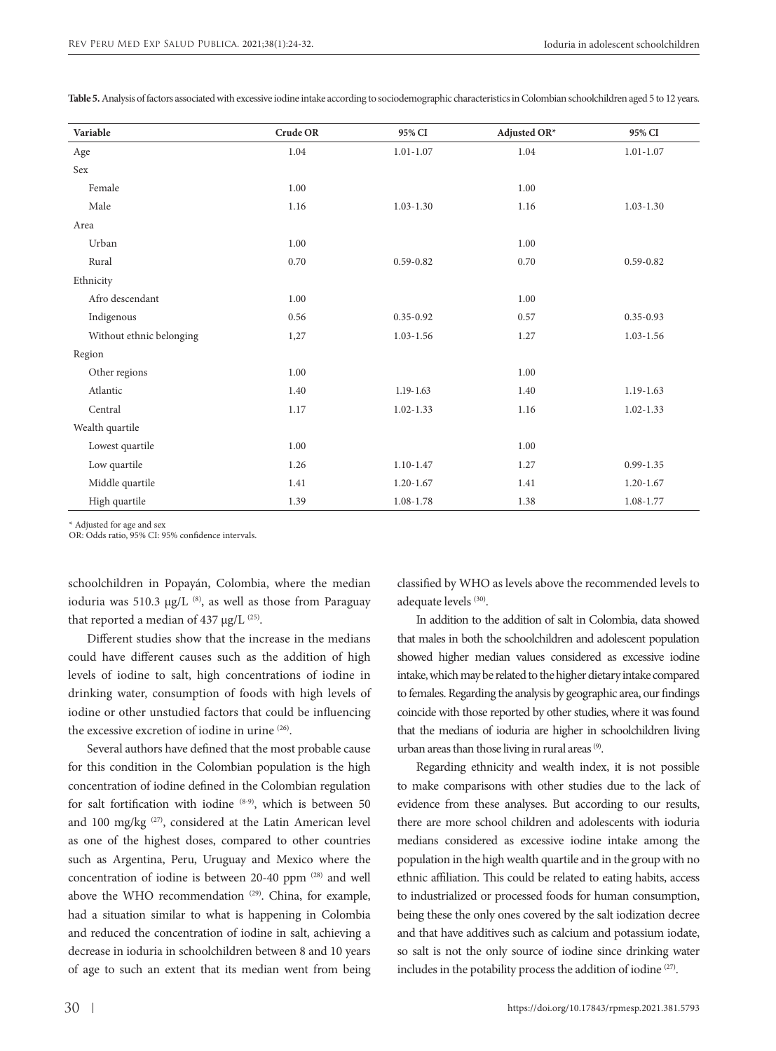| Variable                 | Crude OR | 95% CI        | Adjusted OR* | 95% CI        |
|--------------------------|----------|---------------|--------------|---------------|
| Age                      | 1.04     | $1.01 - 1.07$ | 1.04         | $1.01 - 1.07$ |
| Sex                      |          |               |              |               |
| Female                   | 1.00     |               | 1.00         |               |
| $\rm Male$               | 1.16     | $1.03 - 1.30$ | 1.16         | $1.03 - 1.30$ |
| Area                     |          |               |              |               |
| Urban                    | 1.00     |               | 1.00         |               |
| Rural                    | 0.70     | $0.59 - 0.82$ | 0.70         | $0.59 - 0.82$ |
| Ethnicity                |          |               |              |               |
| Afro descendant          | 1.00     |               | 1.00         |               |
| Indigenous               | 0.56     | $0.35 - 0.92$ | 0.57         | $0.35 - 0.93$ |
| Without ethnic belonging | 1,27     | $1.03 - 1.56$ | 1.27         | $1.03 - 1.56$ |
| Region                   |          |               |              |               |
| Other regions            | 1.00     |               | 1.00         |               |
| Atlantic                 | 1.40     | $1.19 - 1.63$ | 1.40         | 1.19-1.63     |
| Central                  | 1.17     | $1.02 - 1.33$ | 1.16         | $1.02 - 1.33$ |
| Wealth quartile          |          |               |              |               |
| Lowest quartile          | 1.00     |               | 1.00         |               |
| Low quartile             | 1.26     | $1.10 - 1.47$ | 1.27         | $0.99 - 1.35$ |
| Middle quartile          | 1.41     | $1.20 - 1.67$ | 1.41         | $1.20 - 1.67$ |
| High quartile            | 1.39     | 1.08-1.78     | 1.38         | 1.08-1.77     |

**Table 5.** Analysis of factors associated with excessive iodine intake according to sociodemographic characteristics in Colombian schoolchildren aged 5 to 12 years.

\* Adjusted for age and sex

OR: Odds ratio, 95% CI: 95% confidence intervals.

schoolchildren in Popayán, Colombia, where the median ioduria was 510.3  $\mu$ g/L<sup>(8)</sup>, as well as those from Paraguay that reported a median of 437  $\mu$ g/L <sup>(25)</sup>.

Different studies show that the increase in the medians could have different causes such as the addition of high levels of iodine to salt, high concentrations of iodine in drinking water, consumption of foods with high levels of iodine or other unstudied factors that could be influencing the excessive excretion of iodine in urine (26).

Several authors have defined that the most probable cause for this condition in the Colombian population is the high concentration of iodine defined in the Colombian regulation for salt fortification with iodine (8-9), which is between 50 and 100 mg/kg (27), considered at the Latin American level as one of the highest doses, compared to other countries such as Argentina, Peru, Uruguay and Mexico where the concentration of iodine is between 20-40 ppm <sup>(28)</sup> and well above the WHO recommendation<sup>(29)</sup>. China, for example, had a situation similar to what is happening in Colombia and reduced the concentration of iodine in salt, achieving a decrease in ioduria in schoolchildren between 8 and 10 years of age to such an extent that its median went from being classified by WHO as levels above the recommended levels to adequate levels (30).

In addition to the addition of salt in Colombia, data showed that males in both the schoolchildren and adolescent population showed higher median values considered as excessive iodine intake, which may be related to the higher dietary intake compared to females. Regarding the analysis by geographic area, our findings coincide with those reported by other studies, where it was found that the medians of ioduria are higher in schoolchildren living urban areas than those living in rural areas (9).

Regarding ethnicity and wealth index, it is not possible to make comparisons with other studies due to the lack of evidence from these analyses. But according to our results, there are more school children and adolescents with ioduria medians considered as excessive iodine intake among the population in the high wealth quartile and in the group with no ethnic affiliation. This could be related to eating habits, access to industrialized or processed foods for human consumption, being these the only ones covered by the salt iodization decree and that have additives such as calcium and potassium iodate, so salt is not the only source of iodine since drinking water includes in the potability process the addition of iodine (27).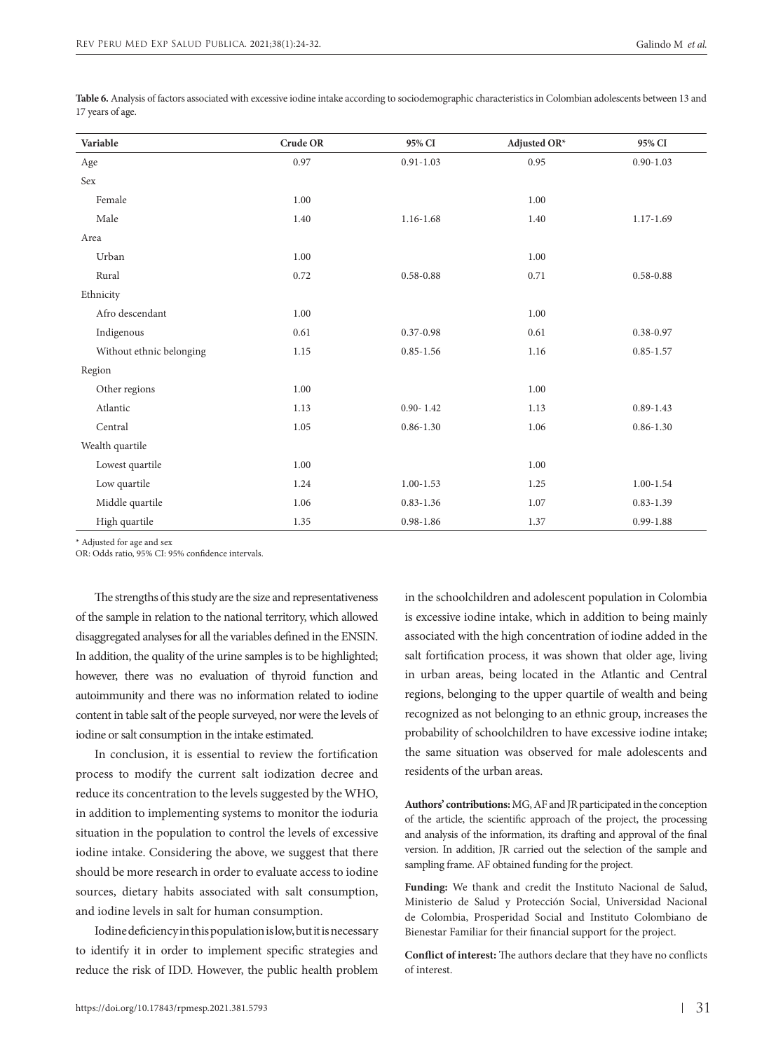| Variable                 | Crude OR | 95% CI        | Adjusted OR* | 95% CI        |
|--------------------------|----------|---------------|--------------|---------------|
| Age                      | 0.97     | $0.91 - 1.03$ | 0.95         | $0.90 - 1.03$ |
| Sex                      |          |               |              |               |
| Female                   | 1.00     |               | 1.00         |               |
| Male                     | 1.40     | $1.16 - 1.68$ | 1.40         | $1.17 - 1.69$ |
| Area                     |          |               |              |               |
| Urban                    | 1.00     |               | 1.00         |               |
| Rural                    | 0.72     | $0.58 - 0.88$ | 0.71         | $0.58 - 0.88$ |
| Ethnicity                |          |               |              |               |
| Afro descendant          | 1.00     |               | 1.00         |               |
| Indigenous               | 0.61     | $0.37 - 0.98$ | 0.61         | $0.38 - 0.97$ |
| Without ethnic belonging | 1.15     | $0.85 - 1.56$ | 1.16         | $0.85 - 1.57$ |
| Region                   |          |               |              |               |
| Other regions            | 1.00     |               | 1.00         |               |
| Atlantic                 | 1.13     | $0.90 - 1.42$ | 1.13         | $0.89 - 1.43$ |
| Central                  | 1.05     | $0.86 - 1.30$ | 1.06         | $0.86 - 1.30$ |
| Wealth quartile          |          |               |              |               |
| Lowest quartile          | 1.00     |               | 1.00         |               |
| Low quartile             | 1.24     | $1.00 - 1.53$ | 1.25         | $1.00 - 1.54$ |
| Middle quartile          | 1.06     | $0.83 - 1.36$ | 1.07         | $0.83 - 1.39$ |
| High quartile            | 1.35     | $0.98 - 1.86$ | 1.37         | $0.99 - 1.88$ |

**Table 6.** Analysis of factors associated with excessive iodine intake according to sociodemographic characteristics in Colombian adolescents between 13 and 17 years of age.

\* Adjusted for age and sex

OR: Odds ratio, 95% CI: 95% confidence intervals.

The strengths of this study are the size and representativeness of the sample in relation to the national territory, which allowed disaggregated analyses for all the variables defined in the ENSIN. In addition, the quality of the urine samples is to be highlighted; however, there was no evaluation of thyroid function and autoimmunity and there was no information related to iodine content in table salt of the people surveyed, nor were the levels of iodine or salt consumption in the intake estimated.

In conclusion, it is essential to review the fortification process to modify the current salt iodization decree and reduce its concentration to the levels suggested by the WHO, in addition to implementing systems to monitor the ioduria situation in the population to control the levels of excessive iodine intake. Considering the above, we suggest that there should be more research in order to evaluate access to iodine sources, dietary habits associated with salt consumption, and iodine levels in salt for human consumption.

Iodine deficiency in this population is low, but it is necessary to identify it in order to implement specific strategies and reduce the risk of IDD. However, the public health problem

in the schoolchildren and adolescent population in Colombia is excessive iodine intake, which in addition to being mainly associated with the high concentration of iodine added in the salt fortification process, it was shown that older age, living in urban areas, being located in the Atlantic and Central regions, belonging to the upper quartile of wealth and being recognized as not belonging to an ethnic group, increases the probability of schoolchildren to have excessive iodine intake; the same situation was observed for male adolescents and residents of the urban areas.

**Authors' contributions:** MG, AF and JR participated in the conception of the article, the scientific approach of the project, the processing and analysis of the information, its drafting and approval of the final version. In addition, JR carried out the selection of the sample and sampling frame. AF obtained funding for the project.

**Funding:** We thank and credit the Instituto Nacional de Salud, Ministerio de Salud y Protección Social, Universidad Nacional de Colombia, Prosperidad Social and Instituto Colombiano de Bienestar Familiar for their financial support for the project.

**Conflict of interest:** The authors declare that they have no conflicts of interest.